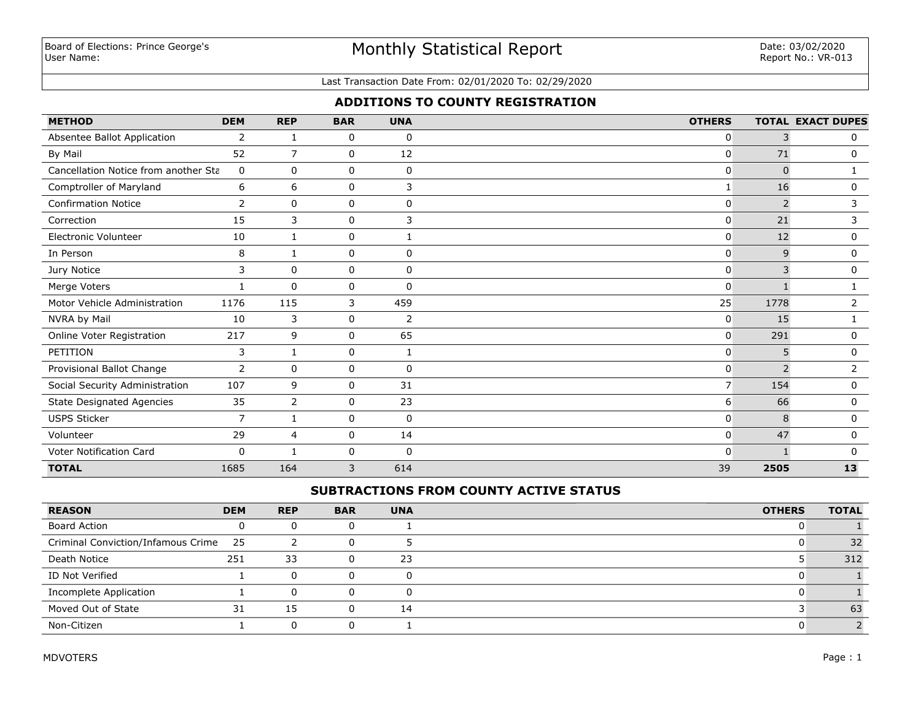# Monthly Statistical Report

#### Last Transaction Date From: 02/01/2020 To: 02/29/2020

# **ADDITIONS TO COUNTY REGISTRATION**

| <b>METHOD</b>                        | <b>DEM</b> | <b>REP</b>     | <b>BAR</b>  | <b>UNA</b>  | <b>OTHERS</b>  |                | <b>TOTAL EXACT DUPES</b> |
|--------------------------------------|------------|----------------|-------------|-------------|----------------|----------------|--------------------------|
| Absentee Ballot Application          | 2          | 1              | 0           | $\mathbf 0$ | 0              | 3              | 0                        |
| By Mail                              | 52         | 7              | 0           | 12          | 0              | 71             | 0                        |
| Cancellation Notice from another Sta | 0          | $\mathbf 0$    | 0           | 0           | 0              | $\Omega$       |                          |
| Comptroller of Maryland              | 6          | 6              | 0           | 3           |                | 16             | 0                        |
| <b>Confirmation Notice</b>           | 2          | $\mathbf 0$    | 0           | $\mathbf 0$ | 0              | $\overline{2}$ | 3                        |
| Correction                           | 15         | 3              | $\mathbf 0$ | 3           | 0              | 21             | 3                        |
| Electronic Volunteer                 | 10         | 1              | 0           |             | 0              | 12             | 0                        |
| In Person                            | 8          | 1              | 0           | $\mathbf 0$ | 0              | 9              | 0                        |
| Jury Notice                          | 3          | 0              | 0           | $\mathbf 0$ | 0              | 3              | 0                        |
| Merge Voters                         |            | $\mathbf 0$    | $\mathbf 0$ | $\mathbf 0$ | 0              |                |                          |
| Motor Vehicle Administration         | 1176       | 115            | 3           | 459         | 25             | 1778           | $\overline{2}$           |
| NVRA by Mail                         | 10         | 3              | 0           | 2           | 0              | 15             |                          |
| Online Voter Registration            | 217        | 9              | 0           | 65          | 0              | 291            | $\mathbf{0}$             |
| PETITION                             | 3          | 1              | 0           | 1           | 0              | 5              | 0                        |
| Provisional Ballot Change            | 2          | 0              | 0           | $\mathbf 0$ | 0              | $\overline{2}$ | 2                        |
| Social Security Administration       | 107        | 9              | 0           | 31          | $\overline{7}$ | 154            | 0                        |
| <b>State Designated Agencies</b>     | 35         | $\overline{2}$ | 0           | 23          | 6              | 66             | 0                        |
| <b>USPS Sticker</b>                  | 7          | $\mathbf{1}$   | 0           | 0           | 0              | 8              | 0                        |
| Volunteer                            | 29         | 4              | 0           | 14          | 0              | 47             | 0                        |
| Voter Notification Card              | 0          | 1              | 0           | $\mathbf 0$ | $\Omega$       | $\mathbf 1$    | 0                        |
| <b>TOTAL</b>                         | 1685       | 164            | 3           | 614         | 39             | 2505           | 13                       |

# **SUBTRACTIONS FROM COUNTY ACTIVE STATUS**

| <b>REASON</b>                         | <b>DEM</b> | <b>REP</b> | <b>BAR</b> | <b>UNA</b> | <b>OTHERS</b> | <b>TOTAL</b> |
|---------------------------------------|------------|------------|------------|------------|---------------|--------------|
| <b>Board Action</b>                   |            | 0          |            |            |               |              |
| Criminal Conviction/Infamous Crime 25 |            |            |            |            |               | 32           |
| Death Notice                          | 251        | 33         | 0          | 23         |               | 312          |
| ID Not Verified                       |            | $\Omega$   | O)         |            |               |              |
| Incomplete Application                |            | $\Omega$   |            |            |               |              |
| Moved Out of State                    | 31         | 15         | 0          | 14         |               | 63           |
| Non-Citizen                           |            | 0          |            |            |               |              |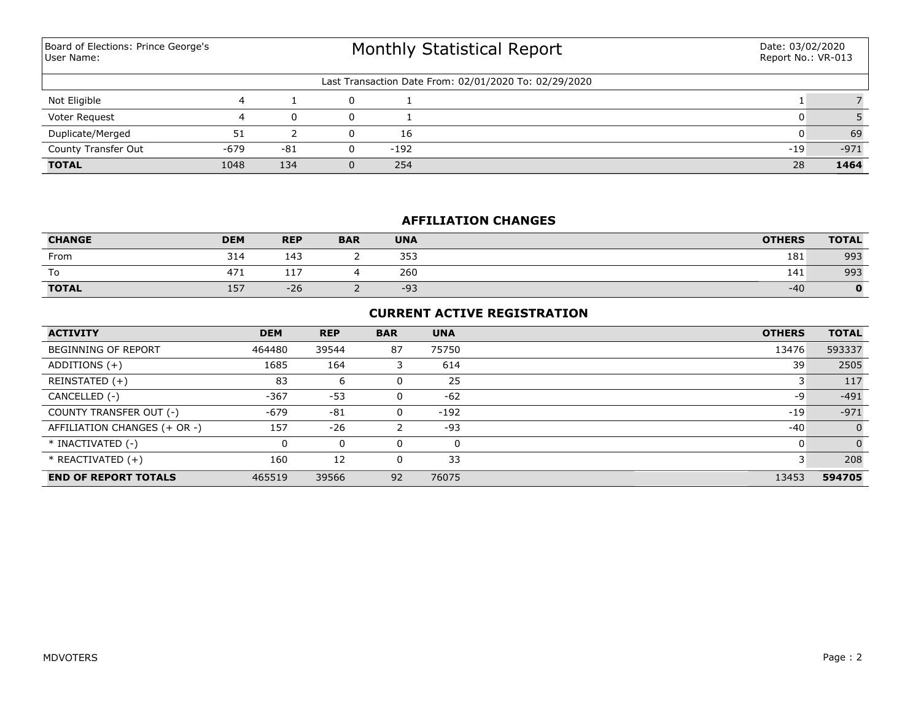Monthly Statistical Report Last Transaction Date From: 02/01/2020 To: 02/29/2020 Board of Elections: Prince George's User Name: Date: 03/02/2020 Report No.: VR-013 Not Eligible 4 1 0 1 1 7 Voter Request 4 0 0 1 0 5 **TOTAL** 1048 134 0 254 28 **1464** County Transfer Out -679 -81 0 -192 -19 -971 Duplicate/Merged 51 2 0 16 0 69

## **AFFILIATION CHANGES**

| <b>CHANGE</b> | <b>DEM</b> | <b>REP</b> | <b>BAR</b> | <b>UNA</b> | <b>OTHERS</b> | <b>TOTAL</b> |
|---------------|------------|------------|------------|------------|---------------|--------------|
| From          | 314        | 143        | -          | 353        | 181           | 993          |
| To            | 471        | ---<br>TT. |            | 260        | 141           | 993          |
| <b>TOTAL</b>  | 157        | $-26$      | -          | $-93$      | $-40$         |              |

### **CURRENT ACTIVE REGISTRATION**

| <b>ACTIVITY</b>              | <b>DEM</b> | <b>REP</b> | <b>BAR</b> | <b>UNA</b> | <b>OTHERS</b> | <b>TOTAL</b> |
|------------------------------|------------|------------|------------|------------|---------------|--------------|
| <b>BEGINNING OF REPORT</b>   | 464480     | 39544      | 87         | 75750      | 13476         | 593337       |
| ADDITIONS $(+)$              | 1685       | 164        |            | 614        | 39            | 2505         |
| REINSTATED (+)               | 83         | 6          |            | 25         |               | 117          |
| CANCELLED (-)                | $-367$     | $-53$      | 0          | $-62$      | -9            | $-491$       |
| COUNTY TRANSFER OUT (-)      | $-679$     | $-81$      | 0          | $-192$     | $-19$         | $-971$       |
| AFFILIATION CHANGES (+ OR -) | 157        | $-26$      |            | $-93$      | $-40$         | $\Omega$     |
| * INACTIVATED (-)            |            | 0          | 0          | 0          |               |              |
| $*$ REACTIVATED $(+)$        | 160        | 12         |            | 33         |               | 208          |
| <b>END OF REPORT TOTALS</b>  | 465519     | 39566      | 92         | 76075      | 13453         | 594705       |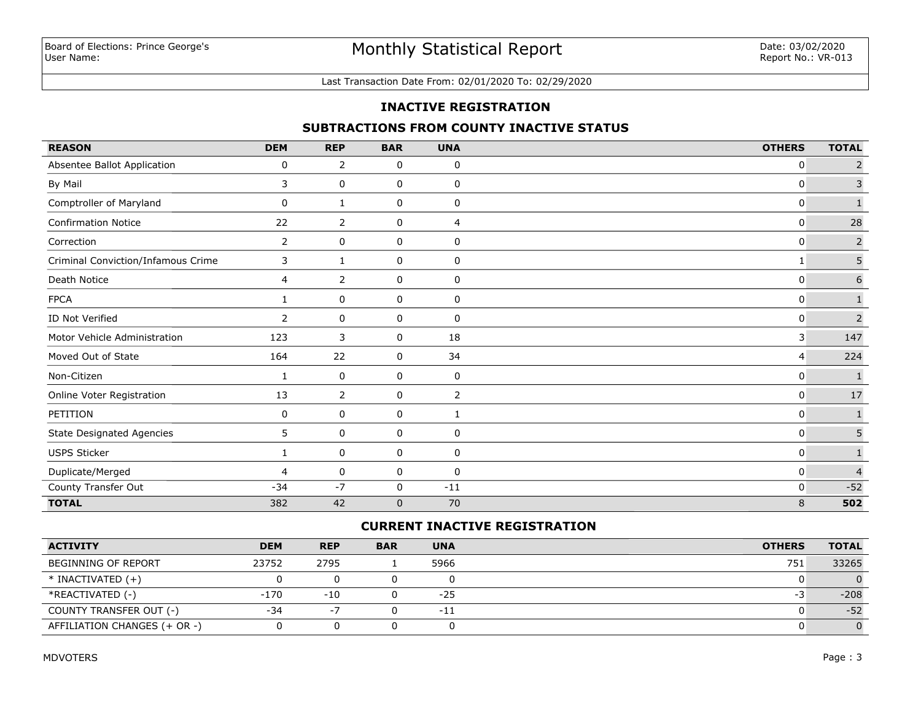#### Last Transaction Date From: 02/01/2020 To: 02/29/2020

### **INACTIVE REGISTRATION**

## **SUBTRACTIONS FROM COUNTY INACTIVE STATUS**

| <b>REASON</b>                      | <b>DEM</b>     | <b>REP</b>  | <b>BAR</b>  | <b>UNA</b>  | <b>OTHERS</b>  | <b>TOTAL</b>   |
|------------------------------------|----------------|-------------|-------------|-------------|----------------|----------------|
| Absentee Ballot Application        | 0              | 2           | 0           | 0           | 0              | $\overline{2}$ |
| By Mail                            | 3              | 0           | 0           | 0           | $\mathbf 0$    | $\mathsf{3}$   |
| Comptroller of Maryland            | 0              | 1           | 0           | 0           | 0              | $\mathbf{1}$   |
| <b>Confirmation Notice</b>         | 22             | 2           | 0           | 4           | 0              | 28             |
| Correction                         | $\mathbf{2}$   | $\mathbf 0$ | 0           | 0           | 0              | $\mathsf{2}$   |
| Criminal Conviction/Infamous Crime | 3              | 1           | 0           | 0           | 1              | 5              |
| Death Notice                       | 4              | 2           | 0           | 0           | 0              | 6              |
| <b>FPCA</b>                        | 1              | 0           | 0           | 0           | 0              | $\mathbf{1}$   |
| ID Not Verified                    | $\overline{2}$ | 0           | 0           | 0           | 0              | $\overline{2}$ |
| Motor Vehicle Administration       | 123            | 3           | 0           | 18          | 3              | 147            |
| Moved Out of State                 | 164            | 22          | 0           | 34          | $\overline{4}$ | 224            |
| Non-Citizen                        | 1              | 0           | 0           | 0           | 0              | $\mathbf{1}$   |
| Online Voter Registration          | 13             | 2           | 0           | 2           | $\mathbf{0}$   | $17\,$         |
| PETITION                           | 0              | 0           | 0           | 1           | $\mathbf{0}$   | $\mathbf{1}$   |
| <b>State Designated Agencies</b>   | 5              | 0           | 0           | 0           | $\mathbf{0}$   | 5              |
| USPS Sticker                       | 1              | 0           | 0           | $\mathbf 0$ | $\mathbf{0}$   | $\mathbf{1}$   |
| Duplicate/Merged                   | $\overline{4}$ | 0           | 0           | 0           | 0              | $\overline{4}$ |
| County Transfer Out                | $-34$          | $-7$        | 0           | $-11$       | $\mathbf 0$    | $-52$          |
| <b>TOTAL</b>                       | 382            | 42          | $\mathbf 0$ | 70          | 8              | 502            |

## **CURRENT INACTIVE REGISTRATION**

| <b>ACTIVITY</b>              | <b>DEM</b> | <b>REP</b> | <b>BAR</b> | <b>UNA</b> | <b>OTHERS</b> | <b>TOTAL</b> |
|------------------------------|------------|------------|------------|------------|---------------|--------------|
| <b>BEGINNING OF REPORT</b>   | 23752      | 2795       |            | 5966       | 751           | 33265        |
| $*$ INACTIVATED $(+)$        |            |            |            |            |               |              |
| *REACTIVATED (-)             | -170       | $-10$      |            | $-25$      | -5            | $-208$       |
| COUNTY TRANSFER OUT (-)      | $-34$      | Ξ.         |            | $-11$      |               | $-52$        |
| AFFILIATION CHANGES (+ OR -) |            |            |            |            |               |              |